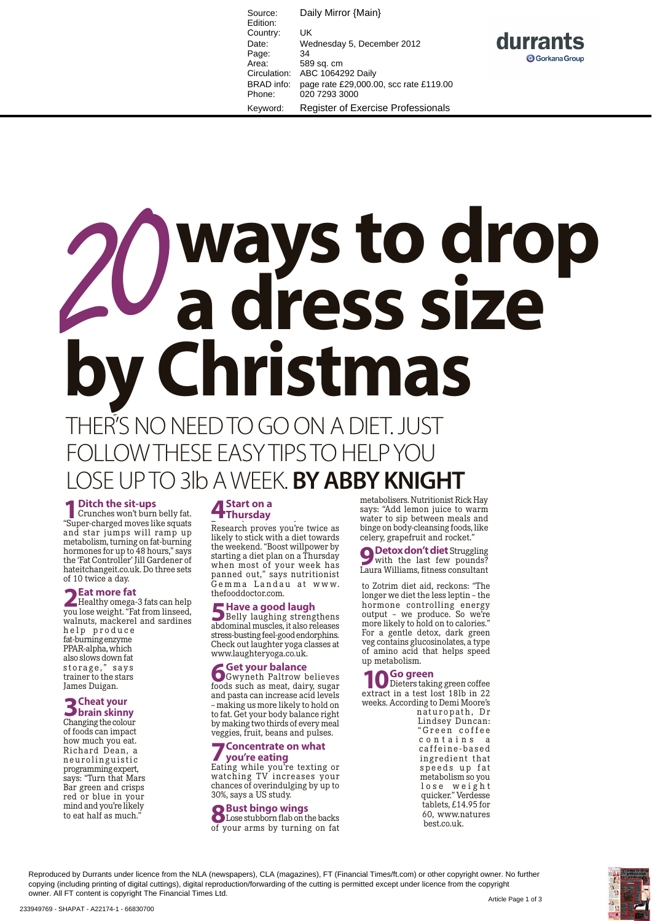Source: Daily Mirror {Main} Edition: Country: UK Date: Wednesday 5, December 2012 Page: 34<br>Area: 58 Area: 589 sq. cm<br>Circulation: ABC 10642 ABC 1064292 Daily BRAD info: page rate £29,000.00, scc rate £119.00 Phone: 020 7293 3000 Keyword: Register of Exercise Professionals

durrants



# OLLOW THESE EASY TIPS TO HELP YOU LOSE UP TO 3lb A WEEK. **BY ABBY KNIGHT**

**1 Ditch the sit-ups**<br>
Crunches won't burn belly fat.<br>
"Super-charged moves like squats" "Super-charged moves like squats and star jumps will ramp up metabolism, turning on fat-burning hormones for up to 48 hours," says the 'Fat Controller' Jill Gardener of hateitchangeit.co.uk. Do three sets of 10 twice a day.

**2 Eat more fat**<br>
Healthy omega-3 fats can help<br>
Wouldse weight "Fat from linseed you lose weight. "Fat from linseed, walnuts, mackerel and sardines help produce fat-burning enzyme

PPAR-alpha, which also slows down fat storage,"says trainer to the stars James Duigan.

## **3Cheat your brain skinny**

Changing the colour of foods can impact how much you eat. Richard Dean, a n e u rolinguistic programming expert, says: "Turn that Mars Bar green and crisps red or blue in your mind and you're likely to eat half as much."

## **4 Start on a Thursday**

**Trinursday**<br>Research proves you're twice as likely to stick with a diet towards the weekend. "Boost willpower by starting a diet plan on a Thursday when most of your week has panned out," says nutritionist Gemma Landau at www. thefooddoctor.com.

**5 Have a good laugh<br>
Belly laughing strengthens**<br>
abdominal muscles it also releases abdominal muscles, it also releases stress-busting feel-good endorphins. Check out laughter yoga classes at www.laughteryoga.co.uk.

**6 Get your balance**<br> **6 Gwyneth Paltrow believes**<br> **Coods** such as meat dairy sugar foods such as meat, dairy, sugar and pasta can increase acid levels – making us more likely to hold on to fat. Get your body balance right by making two thirds of every meal veggies, fruit, beans and pulses.

## **7Concentrate on what you're eating**

Eating while you're texting or watching TV increases your chances of overindulging by up to 30%, says a US study.

## **8Bust bingo wings**

Lose stubborn flab on the backs of your arms by turning on fat

metabolisers. Nutritionist Rick Hay says: "Add lemon juice to warm water to sip between meals and binge on body-cleansing foods, like celery, grapefruit and rocket."

**9 Detox don't diet** Struggling<br>with the last few pounds? Laura Williams, fitness consultant

to Zotrim diet aid, reckons: "The longer we diet the less leptin – the hormone controlling energy output – we produce. So we're more likely to hold on to calories." For a gentle detox, dark green veg contains glucosinolates, a type of amino acid that helps speed up metabolism.

**10 Go green**<br> **10** Dieters taking green coffee<br> **18th** in 22 extract in a test lost 18lb in 22 weeks. According to Demi Moore's

naturopath, Dr Lindsey Duncan: "Green coffee contains a caffeine-based ingredient that speeds up fat metabolism so you l o s e w e i g h t quicker." Verdesse tablets, £14.95 for 60, www.natures best.co.uk.

Reproduced by Durrants under licence from the NLA (newspapers), CLA (magazines), FT (Financial Times/ft.com) or other copyright owner. No further copying (including printing of digital cuttings), digital reproduction/forwarding of the cutting is permitted except under licence from the copyright owner. All FT content is copyright The Financial Times Ltd.

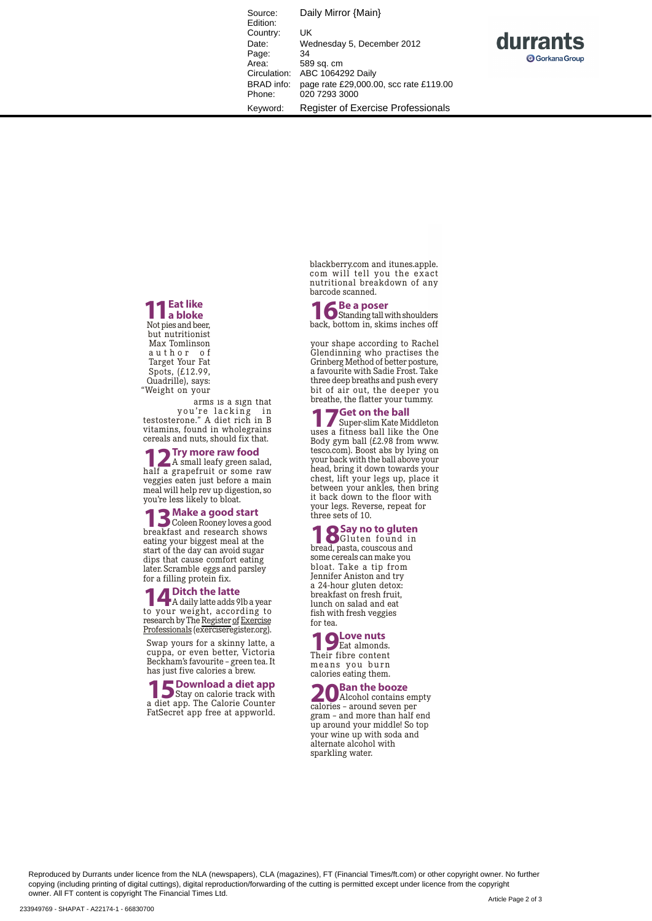Source: Daily Mirror {Main} Edition: Country: UK<br>Date: We Wednesday 5, December 2012 Page: 34<br>Area: 58 Area: 589 sq. cm<br>Circulation: ABC 10642 ABC 1064292 Daily BRAD info: page rate £29,000.00, scc rate £119.00 Phone: 020 7293 3000 Keyword: Register of Exercise Professionals



**11Eat like a bloke** Not pies and beer, but nutritionist Max Tomlinson author of Target Your Fat Spots, (£12.99, Quadrille), says: "Weight on your

arms is a sign that you're lacking in testosterone." A diet rich in B vitamins, found in wholegrains cereals and nuts, should fix that.

**12 Try more raw food**<br>half a grapefruit or some raw half a grapefruit or some raw veggies eaten just before a main meal will help rev up digestion, so you're less likely to bloat.

**13** Coleen Rooney loves a good breakfast and research shows eating your biggest meal at the start of the day can avoid sugar dips that cause comfort eating later. Scramble eggs and parsley for a filling protein fix.

**14 Ditch the latte**<br> **14 Disk of Adaily latte adds 9lb a year**<br> **10 YOUT Weight, according to** to your weight, according to research by The Register of Exercise Professionals (exerciseregister.org).

Swap yours for a skinny latte, a cuppa, or even better, Victoria Beckham's favourite – green tea. It has just five calories a brew.

**15 Download a diet app**<br> **15 Stay** on calorie track with<br> **18 diet app** The Calorie Counter a diet app. The Calorie Counter FatSecret app free at appworld.

blackberry.com and itunes.apple. com will tell you the exact nutritional breakdown of any barcode scanned.

**16 Be a poser**<br> **16** Beck bottom in skims inches off back, bottom in, skims inches off

your shape according to Rachel Glendinning who practises the Grinberg Method of better posture, a favourite with Sadie Frost. Take three deep breaths and push every bit of air out, the deeper you breathe, the flatter your tummy.

**17 Get on the ball**<br>
Super-slim Kate Middleton<br>
uses a fitness hall like the One uses a fitness ball like the One Body gym ball (£2.98 from www. tesco.com). Boost abs by lying on your back with the ball above your head, bring it down towards your chest, lift your legs up, place it between your ankles, then bring it back down to the floor with your legs. Reverse, repeat for three sets of 10.

**18 Say no to gluten**<br> **18 Say no to gluten**<br> **18 Say no to gluten**<br> **18 Say no to gluten** bread, pasta, couscous and some cereals can make you bloat. Take a tip from Jennifer Aniston and try a 24-hour gluten detox: breakfast on fresh fruit, lunch on salad and eat

fish with fresh veggies for tea.

## **19 Love nuts**<br>Their fibre content

Their fibre content means you burn calories eating them.

**20** Ban the booze calories – around seven per gram – and more than half end up around your middle! So top your wine up with soda and alternate alcohol with sparkling water.

Reproduced by Durrants under licence from the NLA (newspapers), CLA (magazines), FT (Financial Times/ft.com) or other copyright owner. No further copying (including printing of digital cuttings), digital reproduction/forwarding of the cutting is permitted except under licence from the copyright owner. All FT content is copyright The Financial Times Ltd.